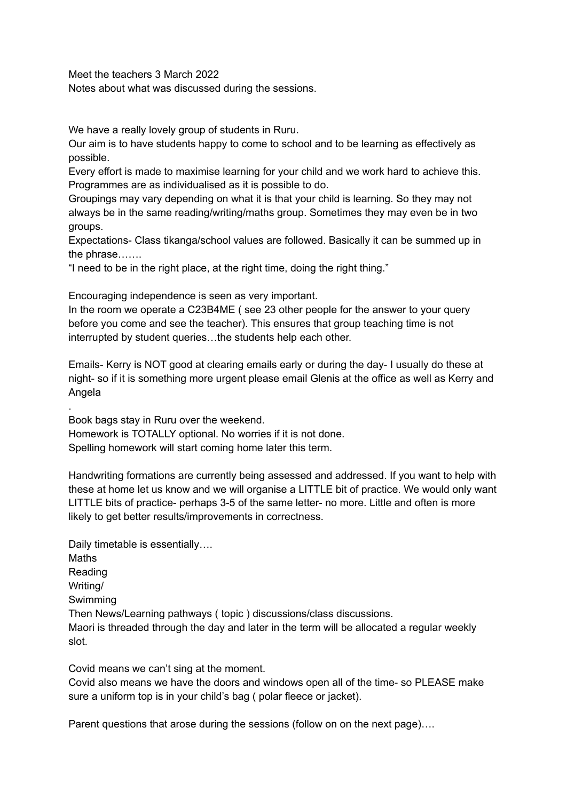Meet the teachers 3 March 2022

.

Notes about what was discussed during the sessions.

We have a really lovely group of students in Ruru.

Our aim is to have students happy to come to school and to be learning as effectively as possible.

Every effort is made to maximise learning for your child and we work hard to achieve this. Programmes are as individualised as it is possible to do.

Groupings may vary depending on what it is that your child is learning. So they may not always be in the same reading/writing/maths group. Sometimes they may even be in two groups.

Expectations- Class tikanga/school values are followed. Basically it can be summed up in the phrase…….

"I need to be in the right place, at the right time, doing the right thing."

Encouraging independence is seen as very important.

In the room we operate a C23B4ME ( see 23 other people for the answer to your query before you come and see the teacher). This ensures that group teaching time is not interrupted by student queries…the students help each other.

Emails- Kerry is NOT good at clearing emails early or during the day- I usually do these at night- so if it is something more urgent please email Glenis at the office as well as Kerry and Angela

Book bags stay in Ruru over the weekend. Homework is TOTALLY optional. No worries if it is not done. Spelling homework will start coming home later this term.

Handwriting formations are currently being assessed and addressed. If you want to help with these at home let us know and we will organise a LITTLE bit of practice. We would only want LITTLE bits of practice- perhaps 3-5 of the same letter- no more. Little and often is more likely to get better results/improvements in correctness.

Daily timetable is essentially…. **Maths** Reading Writing/ Swimming Then News/Learning pathways ( topic ) discussions/class discussions. Maori is threaded through the day and later in the term will be allocated a regular weekly slot.

Covid means we can't sing at the moment. Covid also means we have the doors and windows open all of the time- so PLEASE make sure a uniform top is in your child's bag ( polar fleece or jacket).

Parent questions that arose during the sessions (follow on on the next page)….